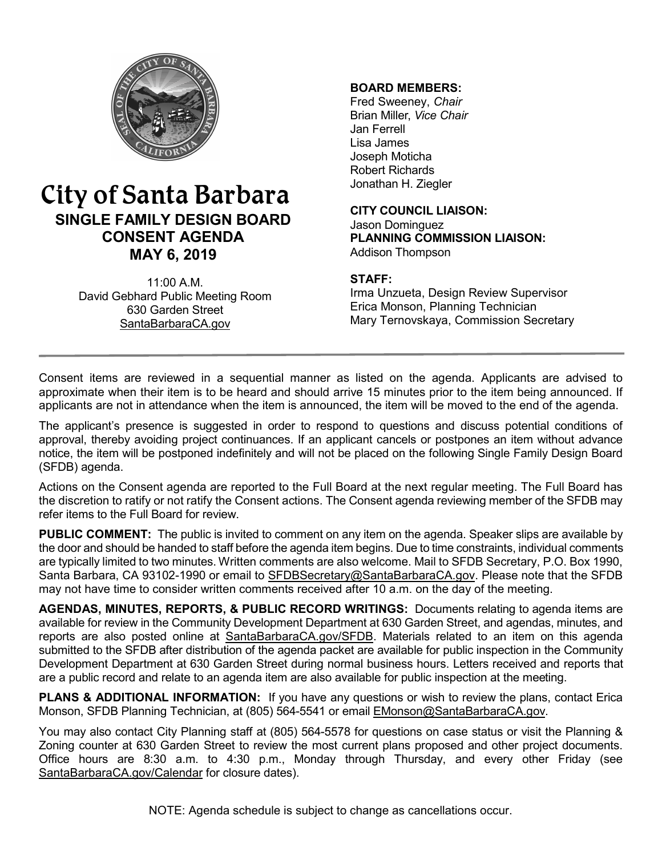

# City of Santa Barbara **SINGLE FAMILY DESIGN BOARD CONSENT AGENDA MAY 6, 2019**

11:00 A.M. David Gebhard Public Meeting Room 630 Garden Street [SantaBarbaraCA.gov](http://www.santabarbaraca.gov/)

### **BOARD MEMBERS:**

Fred Sweeney, *Chair* Brian Miller, *Vice Chair* Jan Ferrell Lisa James Joseph Moticha Robert Richards Jonathan H. Ziegler

**CITY COUNCIL LIAISON:** Jason Dominguez **PLANNING COMMISSION LIAISON:** Addison Thompson

#### **STAFF:**

Irma Unzueta, Design Review Supervisor Erica Monson, Planning Technician Mary Ternovskaya, Commission Secretary

Consent items are reviewed in a sequential manner as listed on the agenda. Applicants are advised to approximate when their item is to be heard and should arrive 15 minutes prior to the item being announced. If applicants are not in attendance when the item is announced, the item will be moved to the end of the agenda.

The applicant's presence is suggested in order to respond to questions and discuss potential conditions of approval, thereby avoiding project continuances. If an applicant cancels or postpones an item without advance notice, the item will be postponed indefinitely and will not be placed on the following Single Family Design Board (SFDB) agenda.

Actions on the Consent agenda are reported to the Full Board at the next regular meeting. The Full Board has the discretion to ratify or not ratify the Consent actions. The Consent agenda reviewing member of the SFDB may refer items to the Full Board for review.

**PUBLIC COMMENT:** The public is invited to comment on any item on the agenda. Speaker slips are available by the door and should be handed to staff before the agenda item begins. Due to time constraints, individual comments are typically limited to two minutes. Written comments are also welcome. Mail to SFDB Secretary, P.O. Box 1990, Santa Barbara, CA 93102-1990 or email to [SFDBSecretary@SantaBarbaraCA.gov](mailto:SFDBSecretary@SantaBarbaraCA.gov). Please note that the SFDB may not have time to consider written comments received after 10 a.m. on the day of the meeting.

**AGENDAS, MINUTES, REPORTS, & PUBLIC RECORD WRITINGS:** Documents relating to agenda items are available for review in the Community Development Department at 630 Garden Street, and agendas, minutes, and reports are also posted online at [SantaBarbaraCA.gov/SFDB](http://www.santabarbaraca.gov/gov/brdcomm/nz/sfdb/agendas.asp). Materials related to an item on this agenda submitted to the SFDB after distribution of the agenda packet are available for public inspection in the Community Development Department at 630 Garden Street during normal business hours. Letters received and reports that are a public record and relate to an agenda item are also available for public inspection at the meeting.

**PLANS & ADDITIONAL INFORMATION:** If you have any questions or wish to review the plans, contact Erica Monson, SFDB Planning Technician, at (805) 564-5541 or email [EMonson@SantaBarbaraCA.gov](mailto:EMonson@SantaBarbaraCA.gov).

You may also contact City Planning staff at (805) 564-5578 for questions on case status or visit the Planning & Zoning counter at 630 Garden Street to review the most current plans proposed and other project documents. Office hours are 8:30 a.m. to 4:30 p.m., Monday through Thursday, and every other Friday (see [SantaBarbaraCA.gov/Calendar](http://www.santabarbaraca.gov/cals/default.asp) for closure dates).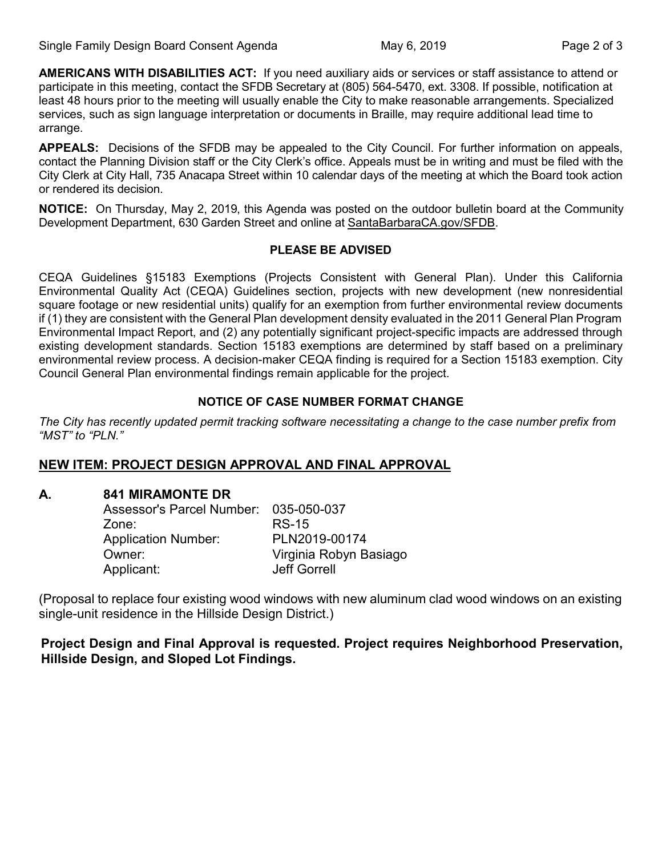**AMERICANS WITH DISABILITIES ACT:** If you need auxiliary aids or services or staff assistance to attend or participate in this meeting, contact the SFDB Secretary at (805) 564-5470, ext. 3308. If possible, notification at least 48 hours prior to the meeting will usually enable the City to make reasonable arrangements. Specialized services, such as sign language interpretation or documents in Braille, may require additional lead time to arrange.

**APPEALS:** Decisions of the SFDB may be appealed to the City Council. For further information on appeals, contact the Planning Division staff or the City Clerk's office. Appeals must be in writing and must be filed with the City Clerk at City Hall, 735 Anacapa Street within 10 calendar days of the meeting at which the Board took action or rendered its decision.

**NOTICE:** On Thursday, May 2, 2019, this Agenda was posted on the outdoor bulletin board at the Community Development Department, 630 Garden Street and online at [SantaBarbaraCA.gov/SFDB](http://www.santabarbaraca.gov/gov/brdcomm/nz/sfdb/agendas.asp).

#### **PLEASE BE ADVISED**

CEQA Guidelines §15183 Exemptions (Projects Consistent with General Plan). Under this California Environmental Quality Act (CEQA) Guidelines section, projects with new development (new nonresidential square footage or new residential units) qualify for an exemption from further environmental review documents if (1) they are consistent with the General Plan development density evaluated in the 2011 General Plan Program Environmental Impact Report, and (2) any potentially significant project-specific impacts are addressed through existing development standards. Section 15183 exemptions are determined by staff based on a preliminary environmental review process. A decision-maker CEQA finding is required for a Section 15183 exemption. City Council General Plan environmental findings remain applicable for the project.

### **NOTICE OF CASE NUMBER FORMAT CHANGE**

*The City has recently updated permit tracking software necessitating a change to the case number prefix from "MST" to "PLN."*

### **NEW ITEM: PROJECT DESIGN APPROVAL AND FINAL APPROVAL**

### **A. 841 MIRAMONTE DR**

| Assessor's Parcel Number: 035-050-037 |                        |
|---------------------------------------|------------------------|
| Zone:                                 | <b>RS-15</b>           |
| <b>Application Number:</b>            | PLN2019-00174          |
| Owner:                                | Virginia Robyn Basiago |
| Applicant:                            | <b>Jeff Gorrell</b>    |

(Proposal to replace four existing wood windows with new aluminum clad wood windows on an existing single-unit residence in the Hillside Design District.)

**Project Design and Final Approval is requested. Project requires Neighborhood Preservation, Hillside Design, and Sloped Lot Findings.**